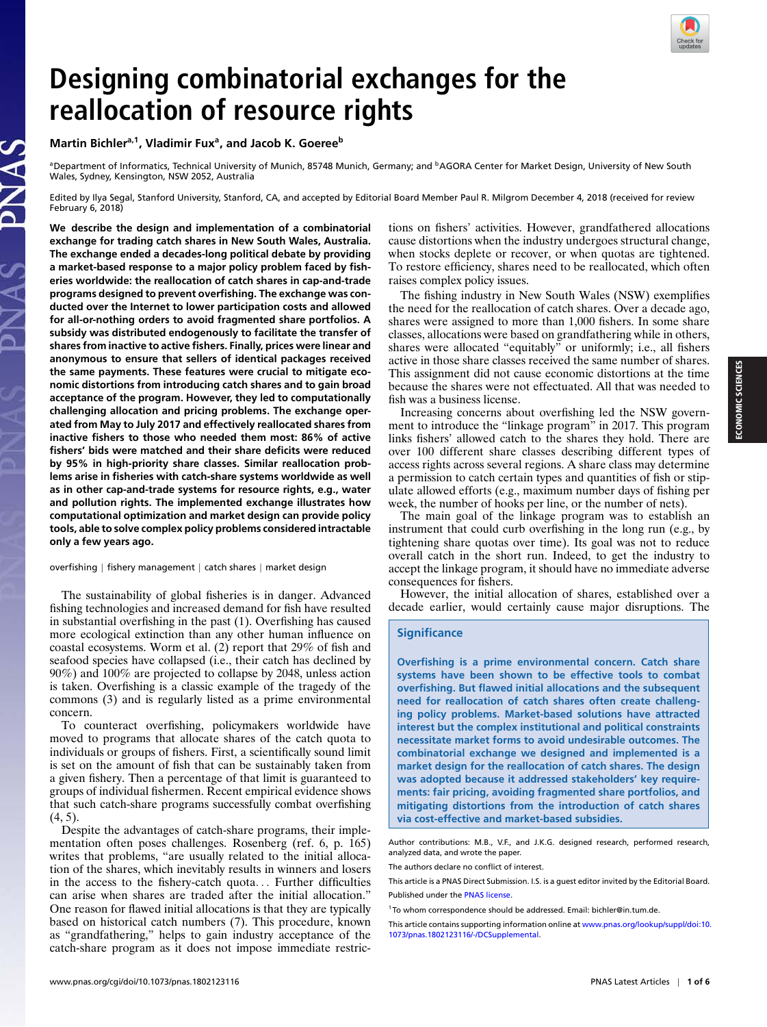

# **Designing combinatorial exchanges for the reallocation of resource rights**

**Martin Bichlera,1, Vladimir Fux<sup>a</sup> , and Jacob K. Goeree<sup>b</sup>**

aDepartment of Informatics, Technical University of Munich, 85748 Munich, Germany; and <sup>b</sup>AGORA Center for Market Design, University of New South Wales, Sydney, Kensington, NSW 2052, Australia

Edited by Ilya Segal, Stanford University, Stanford, CA, and accepted by Editorial Board Member Paul R. Milgrom December 4, 2018 (received for review February 6, 2018)

**We describe the design and implementation of a combinatorial exchange for trading catch shares in New South Wales, Australia. The exchange ended a decades-long political debate by providing a market-based response to a major policy problem faced by fisheries worldwide: the reallocation of catch shares in cap-and-trade programs designed to prevent overfishing. The exchange was conducted over the Internet to lower participation costs and allowed for all-or-nothing orders to avoid fragmented share portfolios. A subsidy was distributed endogenously to facilitate the transfer of shares from inactive to active fishers. Finally, prices were linear and anonymous to ensure that sellers of identical packages received the same payments. These features were crucial to mitigate economic distortions from introducing catch shares and to gain broad acceptance of the program. However, they led to computationally challenging allocation and pricing problems. The exchange operated from May to July 2017 and effectively reallocated shares from inactive fishers to those who needed them most: 86% of active fishers' bids were matched and their share deficits were reduced by 95% in high-priority share classes. Similar reallocation problems arise in fisheries with catch-share systems worldwide as well as in other cap-and-trade systems for resource rights, e.g., water and pollution rights. The implemented exchange illustrates how computational optimization and market design can provide policy tools, able to solve complex policy problems considered intractable only a few years ago.**

## overfishing | fishery management | catch shares | market design

The sustainability of global fisheries is in danger. Advanced fishing technologies and increased demand for fish have resulted in substantial overfishing in the past (1). Overfishing has caused more ecological extinction than any other human influence on coastal ecosystems. Worm et al. (2) report that 29% of fish and seafood species have collapsed (i.e., their catch has declined by 90%) and 100% are projected to collapse by 2048, unless action is taken. Overfishing is a classic example of the tragedy of the commons (3) and is regularly listed as a prime environmental concern.

To counteract overfishing, policymakers worldwide have moved to programs that allocate shares of the catch quota to individuals or groups of fishers. First, a scientifically sound limit is set on the amount of fish that can be sustainably taken from a given fishery. Then a percentage of that limit is guaranteed to groups of individual fishermen. Recent empirical evidence shows that such catch-share programs successfully combat overfishing  $(4, 5)$ .

Despite the advantages of catch-share programs, their implementation often poses challenges. Rosenberg (ref. 6, p. 165) writes that problems, "are usually related to the initial allocation of the shares, which inevitably results in winners and losers in the access to the fishery-catch quota. . . Further difficulties can arise when shares are traded after the initial allocation." One reason for flawed initial allocations is that they are typically based on historical catch numbers (7). This procedure, known as "grandfathering," helps to gain industry acceptance of the catch-share program as it does not impose immediate restric-

tions on fishers' activities. However, grandfathered allocations cause distortions when the industry undergoes structural change, when stocks deplete or recover, or when quotas are tightened. To restore efficiency, shares need to be reallocated, which often raises complex policy issues.

The fishing industry in New South Wales (NSW) exemplifies the need for the reallocation of catch shares. Over a decade ago, shares were assigned to more than 1,000 fishers. In some share classes, allocations were based on grandfathering while in others, shares were allocated "equitably" or uniformly; i.e., all fishers active in those share classes received the same number of shares. This assignment did not cause economic distortions at the time because the shares were not effectuated. All that was needed to fish was a business license.

Increasing concerns about overfishing led the NSW government to introduce the "linkage program" in 2017. This program links fishers' allowed catch to the shares they hold. There are over 100 different share classes describing different types of access rights across several regions. A share class may determine a permission to catch certain types and quantities of fish or stipulate allowed efforts (e.g., maximum number days of fishing per week, the number of hooks per line, or the number of nets).

The main goal of the linkage program was to establish an instrument that could curb overfishing in the long run (e.g., by tightening share quotas over time). Its goal was not to reduce overall catch in the short run. Indeed, to get the industry to accept the linkage program, it should have no immediate adverse consequences for fishers.

However, the initial allocation of shares, established over a decade earlier, would certainly cause major disruptions. The

## **Significance**

**Overfishing is a prime environmental concern. Catch share systems have been shown to be effective tools to combat overfishing. But flawed initial allocations and the subsequent need for reallocation of catch shares often create challenging policy problems. Market-based solutions have attracted interest but the complex institutional and political constraints necessitate market forms to avoid undesirable outcomes. The combinatorial exchange we designed and implemented is a market design for the reallocation of catch shares. The design was adopted because it addressed stakeholders' key requirements: fair pricing, avoiding fragmented share portfolios, and mitigating distortions from the introduction of catch shares via cost-effective and market-based subsidies.**

Author contributions: M.B., V.F., and J.K.G. designed research, performed research, analyzed data, and wrote the paper.

The authors declare no conflict of interest.

This article is a PNAS Direct Submission. I.S. is a guest editor invited by the Editorial Board. Published under the [PNAS license.](https://www.pnas.org/site/aboutpnas/licenses.xhtml)

This article contains supporting information online at [www.pnas.org/lookup/suppl/doi:10.](https://www.pnas.org/lookup/suppl/doi:10.1073/pnas.1802123116/-/DCSupplemental) [1073/pnas.1802123116/-/DCSupplemental.](https://www.pnas.org/lookup/suppl/doi:10.1073/pnas.1802123116/-/DCSupplemental)y

<sup>&</sup>lt;sup>1</sup> To whom correspondence should be addressed. Email: [bichler@in.tum.de.](mailto:bichler@in.tum.de)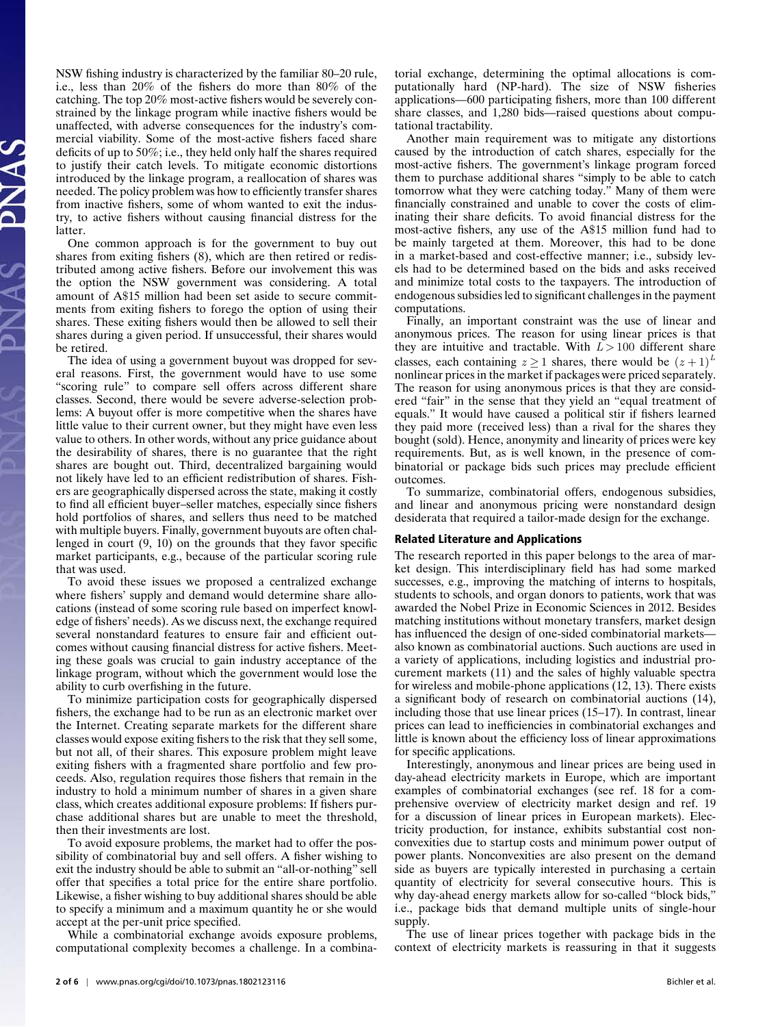NSW fishing industry is characterized by the familiar 80–20 rule, i.e., less than 20% of the fishers do more than 80% of the catching. The top 20% most-active fishers would be severely constrained by the linkage program while inactive fishers would be unaffected, with adverse consequences for the industry's commercial viability. Some of the most-active fishers faced share deficits of up to 50%; i.e., they held only half the shares required to justify their catch levels. To mitigate economic distortions introduced by the linkage program, a reallocation of shares was needed. The policy problem was how to efficiently transfer shares from inactive fishers, some of whom wanted to exit the industry, to active fishers without causing financial distress for the latter.

One common approach is for the government to buy out shares from exiting fishers (8), which are then retired or redistributed among active fishers. Before our involvement this was the option the NSW government was considering. A total amount of A\$15 million had been set aside to secure commitments from exiting fishers to forego the option of using their shares. These exiting fishers would then be allowed to sell their shares during a given period. If unsuccessful, their shares would be retired.

The idea of using a government buyout was dropped for several reasons. First, the government would have to use some "scoring rule" to compare sell offers across different share classes. Second, there would be severe adverse-selection problems: A buyout offer is more competitive when the shares have little value to their current owner, but they might have even less value to others. In other words, without any price guidance about the desirability of shares, there is no guarantee that the right shares are bought out. Third, decentralized bargaining would not likely have led to an efficient redistribution of shares. Fishers are geographically dispersed across the state, making it costly to find all efficient buyer–seller matches, especially since fishers hold portfolios of shares, and sellers thus need to be matched with multiple buyers. Finally, government buyouts are often challenged in court (9, 10) on the grounds that they favor specific market participants, e.g., because of the particular scoring rule that was used.

To avoid these issues we proposed a centralized exchange where fishers' supply and demand would determine share allocations (instead of some scoring rule based on imperfect knowledge of fishers' needs). As we discuss next, the exchange required several nonstandard features to ensure fair and efficient outcomes without causing financial distress for active fishers. Meeting these goals was crucial to gain industry acceptance of the linkage program, without which the government would lose the ability to curb overfishing in the future.

To minimize participation costs for geographically dispersed fishers, the exchange had to be run as an electronic market over the Internet. Creating separate markets for the different share classes would expose exiting fishers to the risk that they sell some, but not all, of their shares. This exposure problem might leave exiting fishers with a fragmented share portfolio and few proceeds. Also, regulation requires those fishers that remain in the industry to hold a minimum number of shares in a given share class, which creates additional exposure problems: If fishers purchase additional shares but are unable to meet the threshold, then their investments are lost.

To avoid exposure problems, the market had to offer the possibility of combinatorial buy and sell offers. A fisher wishing to exit the industry should be able to submit an "all-or-nothing" sell offer that specifies a total price for the entire share portfolio. Likewise, a fisher wishing to buy additional shares should be able to specify a minimum and a maximum quantity he or she would accept at the per-unit price specified.

While a combinatorial exchange avoids exposure problems, computational complexity becomes a challenge. In a combinatorial exchange, determining the optimal allocations is computationally hard (NP-hard). The size of NSW fisheries applications—600 participating fishers, more than 100 different share classes, and 1,280 bids—raised questions about computational tractability.

Another main requirement was to mitigate any distortions caused by the introduction of catch shares, especially for the most-active fishers. The government's linkage program forced them to purchase additional shares "simply to be able to catch tomorrow what they were catching today." Many of them were financially constrained and unable to cover the costs of eliminating their share deficits. To avoid financial distress for the most-active fishers, any use of the A\$15 million fund had to be mainly targeted at them. Moreover, this had to be done in a market-based and cost-effective manner; i.e., subsidy levels had to be determined based on the bids and asks received and minimize total costs to the taxpayers. The introduction of endogenous subsidies led to significant challenges in the payment computations.

Finally, an important constraint was the use of linear and anonymous prices. The reason for using linear prices is that they are intuitive and tractable. With  $L > 100$  different share classes, each containing  $z \ge 1$  shares, there would be  $(z + 1)^L$ nonlinear prices in the market if packages were priced separately. The reason for using anonymous prices is that they are considered "fair" in the sense that they yield an "equal treatment of equals." It would have caused a political stir if fishers learned they paid more (received less) than a rival for the shares they bought (sold). Hence, anonymity and linearity of prices were key requirements. But, as is well known, in the presence of combinatorial or package bids such prices may preclude efficient outcomes.

To summarize, combinatorial offers, endogenous subsidies, and linear and anonymous pricing were nonstandard design desiderata that required a tailor-made design for the exchange.

## Related Literature and Applications

The research reported in this paper belongs to the area of market design. This interdisciplinary field has had some marked successes, e.g., improving the matching of interns to hospitals, students to schools, and organ donors to patients, work that was awarded the Nobel Prize in Economic Sciences in 2012. Besides matching institutions without monetary transfers, market design has influenced the design of one-sided combinatorial markets also known as combinatorial auctions. Such auctions are used in a variety of applications, including logistics and industrial procurement markets (11) and the sales of highly valuable spectra for wireless and mobile-phone applications (12, 13). There exists a significant body of research on combinatorial auctions (14), including those that use linear prices (15–17). In contrast, linear prices can lead to inefficiencies in combinatorial exchanges and little is known about the efficiency loss of linear approximations for specific applications.

Interestingly, anonymous and linear prices are being used in day-ahead electricity markets in Europe, which are important examples of combinatorial exchanges (see ref. 18 for a comprehensive overview of electricity market design and ref. 19 for a discussion of linear prices in European markets). Electricity production, for instance, exhibits substantial cost nonconvexities due to startup costs and minimum power output of power plants. Nonconvexities are also present on the demand side as buyers are typically interested in purchasing a certain quantity of electricity for several consecutive hours. This is why day-ahead energy markets allow for so-called "block bids," i.e., package bids that demand multiple units of single-hour supply.

The use of linear prices together with package bids in the context of electricity markets is reassuring in that it suggests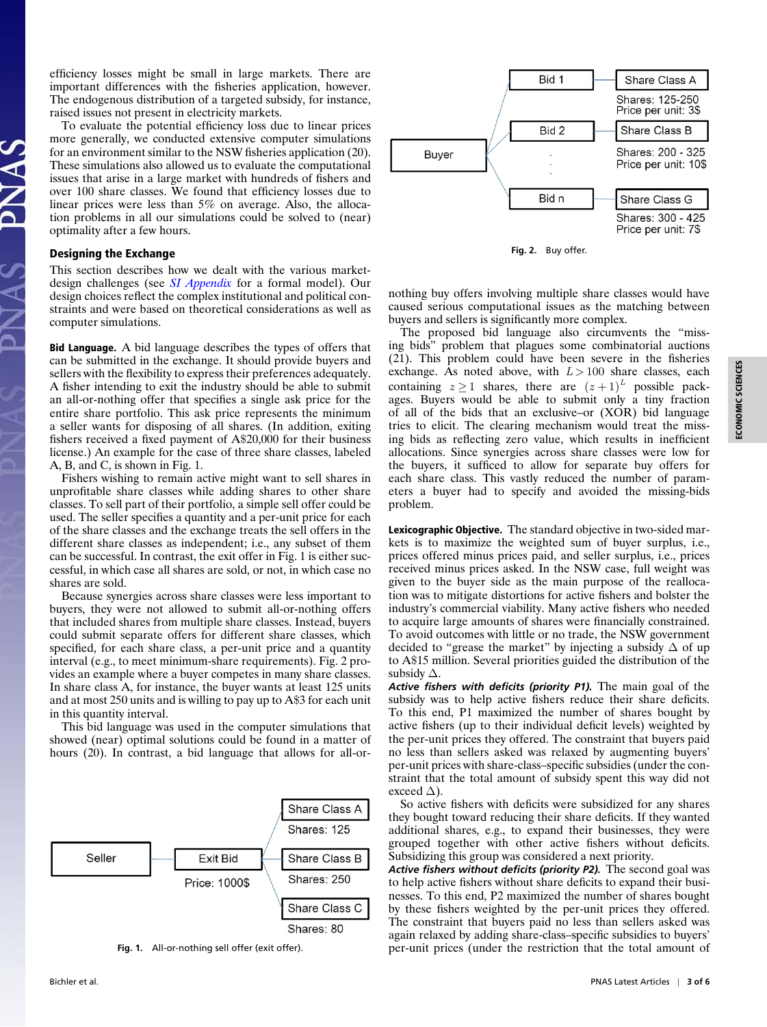efficiency losses might be small in large markets. There are important differences with the fisheries application, however. The endogenous distribution of a targeted subsidy, for instance, raised issues not present in electricity markets.

To evaluate the potential efficiency loss due to linear prices more generally, we conducted extensive computer simulations for an environment similar to the NSW fisheries application (20). These simulations also allowed us to evaluate the computational issues that arise in a large market with hundreds of fishers and over 100 share classes. We found that efficiency losses due to linear prices were less than 5% on average. Also, the allocation problems in all our simulations could be solved to (near) optimality after a few hours.

## Designing the Exchange

This section describes how we dealt with the various marketdesign challenges (see *[SI Appendix](https://www.pnas.org/lookup/suppl/doi:10.1073/pnas.1802123116/-/DCSupplemental)* for a formal model). Our design choices reflect the complex institutional and political constraints and were based on theoretical considerations as well as computer simulations.

Bid Language. A bid language describes the types of offers that can be submitted in the exchange. It should provide buyers and sellers with the flexibility to express their preferences adequately. A fisher intending to exit the industry should be able to submit an all-or-nothing offer that specifies a single ask price for the entire share portfolio. This ask price represents the minimum a seller wants for disposing of all shares. (In addition, exiting fishers received a fixed payment of A\$20,000 for their business license.) An example for the case of three share classes, labeled A, B, and C, is shown in Fig. 1.

Fishers wishing to remain active might want to sell shares in unprofitable share classes while adding shares to other share classes. To sell part of their portfolio, a simple sell offer could be used. The seller specifies a quantity and a per-unit price for each of the share classes and the exchange treats the sell offers in the different share classes as independent; i.e., any subset of them can be successful. In contrast, the exit offer in Fig. 1 is either successful, in which case all shares are sold, or not, in which case no shares are sold.

Because synergies across share classes were less important to buyers, they were not allowed to submit all-or-nothing offers that included shares from multiple share classes. Instead, buyers could submit separate offers for different share classes, which specified, for each share class, a per-unit price and a quantity interval (e.g., to meet minimum-share requirements). Fig. 2 provides an example where a buyer competes in many share classes. In share class A, for instance, the buyer wants at least 125 units and at most 250 units and is willing to pay up to A\$3 for each unit in this quantity interval.

This bid language was used in the computer simulations that showed (near) optimal solutions could be found in a matter of hours (20). In contrast, a bid language that allows for all-or-



**Fig. 1.** All-or-nothing sell offer (exit offer).



**Fig. 2.** Buy offer.

nothing buy offers involving multiple share classes would have caused serious computational issues as the matching between buyers and sellers is significantly more complex.

The proposed bid language also circumvents the "missing bids" problem that plagues some combinatorial auctions (21). This problem could have been severe in the fisheries exchange. As noted above, with  $L > 100$  share classes, each containing  $z \ge 1$  shares, there are  $(z+1)^L$  possible packages. Buyers would be able to submit only a tiny fraction of all of the bids that an exclusive–or (XOR) bid language tries to elicit. The clearing mechanism would treat the missing bids as reflecting zero value, which results in inefficient allocations. Since synergies across share classes were low for the buyers, it sufficed to allow for separate buy offers for each share class. This vastly reduced the number of parameters a buyer had to specify and avoided the missing-bids problem.

Lexicographic Objective. The standard objective in two-sided markets is to maximize the weighted sum of buyer surplus, i.e., prices offered minus prices paid, and seller surplus, i.e., prices received minus prices asked. In the NSW case, full weight was given to the buyer side as the main purpose of the reallocation was to mitigate distortions for active fishers and bolster the industry's commercial viability. Many active fishers who needed to acquire large amounts of shares were financially constrained. To avoid outcomes with little or no trade, the NSW government decided to "grease the market" by injecting a subsidy ∆ of up to A\$15 million. Several priorities guided the distribution of the subsidy ∆.

*Active fishers with deficits (priority P1).* The main goal of the subsidy was to help active fishers reduce their share deficits. To this end, P1 maximized the number of shares bought by active fishers (up to their individual deficit levels) weighted by the per-unit prices they offered. The constraint that buyers paid no less than sellers asked was relaxed by augmenting buyers' per-unit prices with share-class–specific subsidies (under the constraint that the total amount of subsidy spent this way did not exceed  $\Delta$ ).

So active fishers with deficits were subsidized for any shares they bought toward reducing their share deficits. If they wanted additional shares, e.g., to expand their businesses, they were grouped together with other active fishers without deficits. Subsidizing this group was considered a next priority.

*Active fishers without deficits (priority P2).* The second goal was to help active fishers without share deficits to expand their businesses. To this end, P2 maximized the number of shares bought by these fishers weighted by the per-unit prices they offered. The constraint that buyers paid no less than sellers asked was again relaxed by adding share-class–specific subsidies to buyers' per-unit prices (under the restriction that the total amount of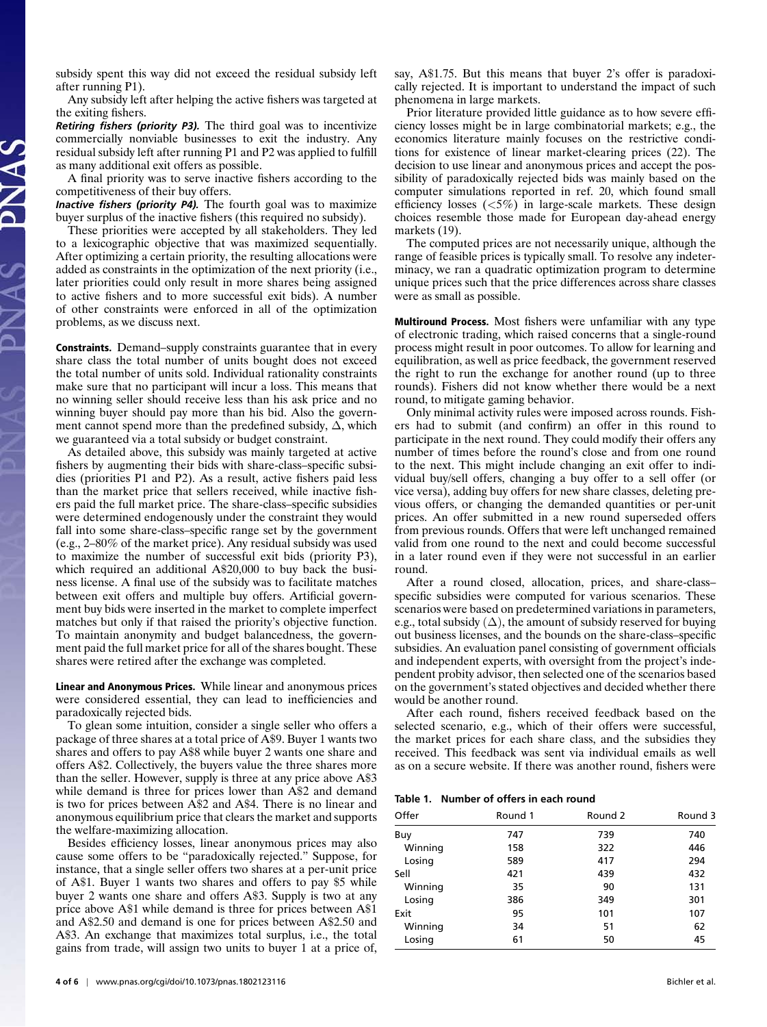subsidy spent this way did not exceed the residual subsidy left after running P1).

Any subsidy left after helping the active fishers was targeted at the exiting fishers.

*Retiring fishers (priority P3).* The third goal was to incentivize commercially nonviable businesses to exit the industry. Any residual subsidy left after running P1 and P2 was applied to fulfill as many additional exit offers as possible.

A final priority was to serve inactive fishers according to the competitiveness of their buy offers.

*Inactive fishers (priority P4).* The fourth goal was to maximize buyer surplus of the inactive fishers (this required no subsidy).

These priorities were accepted by all stakeholders. They led to a lexicographic objective that was maximized sequentially. After optimizing a certain priority, the resulting allocations were added as constraints in the optimization of the next priority (i.e., later priorities could only result in more shares being assigned to active fishers and to more successful exit bids). A number of other constraints were enforced in all of the optimization problems, as we discuss next.

Constraints. Demand–supply constraints guarantee that in every share class the total number of units bought does not exceed the total number of units sold. Individual rationality constraints make sure that no participant will incur a loss. This means that no winning seller should receive less than his ask price and no winning buyer should pay more than his bid. Also the government cannot spend more than the predefined subsidy, ∆, which we guaranteed via a total subsidy or budget constraint.

As detailed above, this subsidy was mainly targeted at active fishers by augmenting their bids with share-class–specific subsidies (priorities P1 and P2). As a result, active fishers paid less than the market price that sellers received, while inactive fishers paid the full market price. The share-class–specific subsidies were determined endogenously under the constraint they would fall into some share-class–specific range set by the government (e.g., 2–80% of the market price). Any residual subsidy was used to maximize the number of successful exit bids (priority P3), which required an additional A\$20,000 to buy back the business license. A final use of the subsidy was to facilitate matches between exit offers and multiple buy offers. Artificial government buy bids were inserted in the market to complete imperfect matches but only if that raised the priority's objective function. To maintain anonymity and budget balancedness, the government paid the full market price for all of the shares bought. These shares were retired after the exchange was completed.

Linear and Anonymous Prices. While linear and anonymous prices were considered essential, they can lead to inefficiencies and paradoxically rejected bids.

To glean some intuition, consider a single seller who offers a package of three shares at a total price of A\$9. Buyer 1 wants two shares and offers to pay A\$8 while buyer 2 wants one share and offers A\$2. Collectively, the buyers value the three shares more than the seller. However, supply is three at any price above A\$3 while demand is three for prices lower than A\$2 and demand is two for prices between A\$2 and A\$4. There is no linear and anonymous equilibrium price that clears the market and supports the welfare-maximizing allocation.

Besides efficiency losses, linear anonymous prices may also cause some offers to be "paradoxically rejected." Suppose, for instance, that a single seller offers two shares at a per-unit price of A\$1. Buyer 1 wants two shares and offers to pay \$5 while buyer 2 wants one share and offers A\$3. Supply is two at any price above A\$1 while demand is three for prices between A\$1 and A\$2.50 and demand is one for prices between A\$2.50 and A\$3. An exchange that maximizes total surplus, i.e., the total gains from trade, will assign two units to buyer 1 at a price of, say, A\$1.75. But this means that buyer 2's offer is paradoxically rejected. It is important to understand the impact of such phenomena in large markets.

Prior literature provided little guidance as to how severe efficiency losses might be in large combinatorial markets; e.g., the economics literature mainly focuses on the restrictive conditions for existence of linear market-clearing prices (22). The decision to use linear and anonymous prices and accept the possibility of paradoxically rejected bids was mainly based on the computer simulations reported in ref. 20, which found small efficiency losses  $\left\langle \langle 5\% \rangle \right\rangle$  in large-scale markets. These design choices resemble those made for European day-ahead energy markets (19).

The computed prices are not necessarily unique, although the range of feasible prices is typically small. To resolve any indeterminacy, we ran a quadratic optimization program to determine unique prices such that the price differences across share classes were as small as possible.

Multiround Process. Most fishers were unfamiliar with any type of electronic trading, which raised concerns that a single-round process might result in poor outcomes. To allow for learning and equilibration, as well as price feedback, the government reserved the right to run the exchange for another round (up to three rounds). Fishers did not know whether there would be a next round, to mitigate gaming behavior.

Only minimal activity rules were imposed across rounds. Fishers had to submit (and confirm) an offer in this round to participate in the next round. They could modify their offers any number of times before the round's close and from one round to the next. This might include changing an exit offer to individual buy/sell offers, changing a buy offer to a sell offer (or vice versa), adding buy offers for new share classes, deleting previous offers, or changing the demanded quantities or per-unit prices. An offer submitted in a new round superseded offers from previous rounds. Offers that were left unchanged remained valid from one round to the next and could become successful in a later round even if they were not successful in an earlier round.

After a round closed, allocation, prices, and share-class– specific subsidies were computed for various scenarios. These scenarios were based on predetermined variations in parameters, e.g., total subsidy  $(\Delta)$ , the amount of subsidy reserved for buying out business licenses, and the bounds on the share-class–specific subsidies. An evaluation panel consisting of government officials and independent experts, with oversight from the project's independent probity advisor, then selected one of the scenarios based on the government's stated objectives and decided whether there would be another round.

After each round, fishers received feedback based on the selected scenario, e.g., which of their offers were successful, the market prices for each share class, and the subsidies they received. This feedback was sent via individual emails as well as on a secure website. If there was another round, fishers were

|  | Table 1. Number of offers in each round |  |  |  |
|--|-----------------------------------------|--|--|--|
|  |                                         |  |  |  |

| Offer   | Round 1 | Round 2 | Round 3 |
|---------|---------|---------|---------|
| Buy     | 747     | 739     | 740     |
| Winning | 158     | 322     | 446     |
| Losing  | 589     | 417     | 294     |
| Sell    | 421     | 439     | 432     |
| Winning | 35      | 90      | 131     |
| Losing  | 386     | 349     | 301     |
| Exit    | 95      | 101     | 107     |
| Winning | 34      | 51      | 62      |
| Losing  | 61      | 50      | 45      |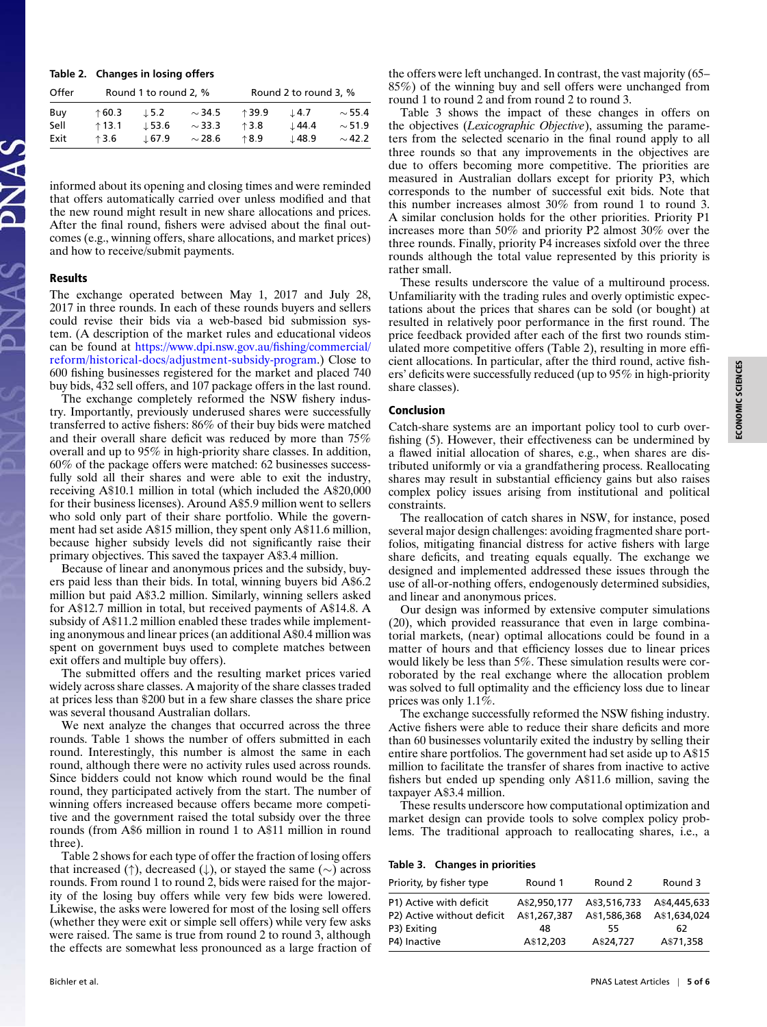|  | Table 2. Changes in losing offers |  |  |  |
|--|-----------------------------------|--|--|--|
|--|-----------------------------------|--|--|--|

| Offer | Round 1 to round 2, % |              |             | Round 2 to round 3, % |                  |             |
|-------|-----------------------|--------------|-------------|-----------------------|------------------|-------------|
| Buy   | $\uparrow$ 60.3       | $\perp$ 5.2  | $\sim$ 34.5 | $+39.9$               | $\downarrow$ 4.7 | $\sim$ 55.4 |
| Sell  | $+13.1$               | $\perp$ 53.6 | $\sim$ 33.3 | $+3.8$                | $\perp$ 44.4     | $\sim$ 51.9 |
| Exit  | $\uparrow$ 3.6        | $\perp$ 67.9 | $\sim$ 28.6 | $+8.9$                | $\perp$ 48.9     | $\sim$ 42.2 |

informed about its opening and closing times and were reminded that offers automatically carried over unless modified and that the new round might result in new share allocations and prices. After the final round, fishers were advised about the final outcomes (e.g., winning offers, share allocations, and market prices) and how to receive/submit payments.

## Results

The exchange operated between May 1, 2017 and July 28, 2017 in three rounds. In each of these rounds buyers and sellers could revise their bids via a web-based bid submission system. (A description of the market rules and educational videos can be found at [https://www.dpi.nsw.gov.au/fishing/commercial/](https://www.dpi.nsw.gov.au/fishing/commercial/reform/historical-docs/adjustment-subsidy-program) [reform/historical-docs/adjustment-subsidy-program.](https://www.dpi.nsw.gov.au/fishing/commercial/reform/historical-docs/adjustment-subsidy-program)) Close to 600 fishing businesses registered for the market and placed 740 buy bids, 432 sell offers, and 107 package offers in the last round.

The exchange completely reformed the NSW fishery industry. Importantly, previously underused shares were successfully transferred to active fishers: 86% of their buy bids were matched and their overall share deficit was reduced by more than 75% overall and up to 95% in high-priority share classes. In addition, 60% of the package offers were matched: 62 businesses successfully sold all their shares and were able to exit the industry, receiving A\$10.1 million in total (which included the A\$20,000 for their business licenses). Around A\$5.9 million went to sellers who sold only part of their share portfolio. While the government had set aside A\$15 million, they spent only A\$11.6 million, because higher subsidy levels did not significantly raise their primary objectives. This saved the taxpayer A\$3.4 million.

Because of linear and anonymous prices and the subsidy, buyers paid less than their bids. In total, winning buyers bid A\$6.2 million but paid A\$3.2 million. Similarly, winning sellers asked for A\$12.7 million in total, but received payments of A\$14.8. A subsidy of A\$11.2 million enabled these trades while implementing anonymous and linear prices (an additional A\$0.4 million was spent on government buys used to complete matches between exit offers and multiple buy offers).

The submitted offers and the resulting market prices varied widely across share classes. A majority of the share classes traded at prices less than \$200 but in a few share classes the share price was several thousand Australian dollars.

We next analyze the changes that occurred across the three rounds. Table 1 shows the number of offers submitted in each round. Interestingly, this number is almost the same in each round, although there were no activity rules used across rounds. Since bidders could not know which round would be the final round, they participated actively from the start. The number of winning offers increased because offers became more competitive and the government raised the total subsidy over the three rounds (from A\$6 million in round 1 to A\$11 million in round three).

Table 2 shows for each type of offer the fraction of losing offers that increased (↑), decreased (↓), or stayed the same ( $\sim$ ) across rounds. From round 1 to round 2, bids were raised for the majority of the losing buy offers while very few bids were lowered. Likewise, the asks were lowered for most of the losing sell offers (whether they were exit or simple sell offers) while very few asks were raised. The same is true from round 2 to round 3, although the effects are somewhat less pronounced as a large fraction of

the offers were left unchanged. In contrast, the vast majority (65– 85%) of the winning buy and sell offers were unchanged from round 1 to round 2 and from round 2 to round 3.

Table 3 shows the impact of these changes in offers on the objectives (*Lexicographic Objective*), assuming the parameters from the selected scenario in the final round apply to all three rounds so that any improvements in the objectives are due to offers becoming more competitive. The priorities are measured in Australian dollars except for priority P3, which corresponds to the number of successful exit bids. Note that this number increases almost 30% from round 1 to round 3. A similar conclusion holds for the other priorities. Priority P1 increases more than 50% and priority P2 almost 30% over the three rounds. Finally, priority P4 increases sixfold over the three rounds although the total value represented by this priority is rather small.

These results underscore the value of a multiround process. Unfamiliarity with the trading rules and overly optimistic expectations about the prices that shares can be sold (or bought) at resulted in relatively poor performance in the first round. The price feedback provided after each of the first two rounds stimulated more competitive offers (Table 2), resulting in more efficient allocations. In particular, after the third round, active fishers' deficits were successfully reduced (up to 95% in high-priority share classes).

## Conclusion

Catch-share systems are an important policy tool to curb overfishing (5). However, their effectiveness can be undermined by a flawed initial allocation of shares, e.g., when shares are distributed uniformly or via a grandfathering process. Reallocating shares may result in substantial efficiency gains but also raises complex policy issues arising from institutional and political constraints.

The reallocation of catch shares in NSW, for instance, posed several major design challenges: avoiding fragmented share portfolios, mitigating financial distress for active fishers with large share deficits, and treating equals equally. The exchange we designed and implemented addressed these issues through the use of all-or-nothing offers, endogenously determined subsidies, and linear and anonymous prices.

Our design was informed by extensive computer simulations (20), which provided reassurance that even in large combinatorial markets, (near) optimal allocations could be found in a matter of hours and that efficiency losses due to linear prices would likely be less than 5%. These simulation results were corroborated by the real exchange where the allocation problem was solved to full optimality and the efficiency loss due to linear prices was only 1.1%.

The exchange successfully reformed the NSW fishing industry. Active fishers were able to reduce their share deficits and more than 60 businesses voluntarily exited the industry by selling their entire share portfolios. The government had set aside up to A\$15 million to facilitate the transfer of shares from inactive to active fishers but ended up spending only A\$11.6 million, saving the taxpayer A\$3.4 million.

These results underscore how computational optimization and market design can provide tools to solve complex policy problems. The traditional approach to reallocating shares, i.e., a

| Table 3. | <b>Changes in priorities</b> |  |  |  |
|----------|------------------------------|--|--|--|
|----------|------------------------------|--|--|--|

| Priority, by fisher type   | Round 1      | Round 2      | Round 3      |
|----------------------------|--------------|--------------|--------------|
| P1) Active with deficit    | A\$2,950,177 | A\$3,516,733 | A\$4,445,633 |
| P2) Active without deficit | A\$1,267,387 | A\$1,586,368 | A\$1,634,024 |
| P3) Exiting                | 48           | 55           | 62           |
| P4) Inactive               | A\$12,203    | A\$24,727    | A\$71,358    |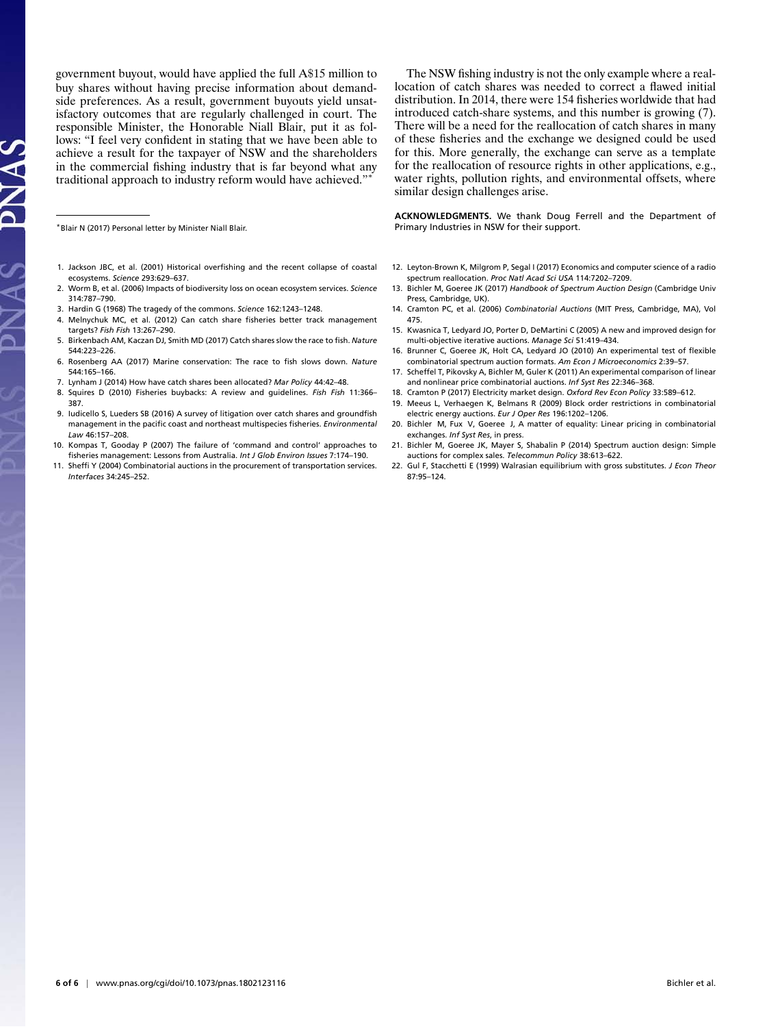government buyout, would have applied the full A\$15 million to buy shares without having precise information about demandside preferences. As a result, government buyouts yield unsatisfactory outcomes that are regularly challenged in court. The responsible Minister, the Honorable Niall Blair, put it as follows: "I feel very confident in stating that we have been able to achieve a result for the taxpayer of NSW and the shareholders in the commercial fishing industry that is far beyond what any traditional approach to industry reform would have achieved."<sup>∗</sup>

\*Blair N (2017) Personal letter by Minister Niall Blair.

JAS

- 1. Jackson JBC, et al. (2001) Historical overfishing and the recent collapse of coastal ecosystems. *Science* 293:629–637.
- 2. Worm B, et al. (2006) Impacts of biodiversity loss on ocean ecosystem services. *Science* 314:787–790.
- 3. Hardin G (1968) The tragedy of the commons. *Science* 162:1243–1248.
- 4. Melnychuk MC, et al. (2012) Can catch share fisheries better track management targets? *Fish Fish* 13:267–290.
- 5. Birkenbach AM, Kaczan DJ, Smith MD (2017) Catch shares slow the race to fish. *Nature* 544:223–226.
- 6. Rosenberg AA (2017) Marine conservation: The race to fish slows down. *Nature* 544:165–166.
- 7. Lynham J (2014) How have catch shares been allocated? *Mar Policy* 44:42–48. 8. Squires D (2010) Fisheries buybacks: A review and guidelines. *Fish Fish* 11:366–
- 387. 9. Iudicello S, Lueders SB (2016) A survey of litigation over catch shares and groundfish
- management in the pacific coast and northeast multispecies fisheries. *Environmental Law* 46:157–208.
- 10. Kompas T, Gooday P (2007) The failure of 'command and control' approaches to fisheries management: Lessons from Australia. *Int J Glob Environ Issues* 7:174–190.
- 11. Sheffi Y (2004) Combinatorial auctions in the procurement of transportation services. *Interfaces* 34:245–252.

The NSW fishing industry is not the only example where a reallocation of catch shares was needed to correct a flawed initial distribution. In 2014, there were 154 fisheries worldwide that had introduced catch-share systems, and this number is growing (7). There will be a need for the reallocation of catch shares in many of these fisheries and the exchange we designed could be used for this. More generally, the exchange can serve as a template for the reallocation of resource rights in other applications, e.g., water rights, pollution rights, and environmental offsets, where similar design challenges arise.

**ACKNOWLEDGMENTS.** We thank Doug Ferrell and the Department of Primary Industries in NSW for their support.

- 12. Leyton-Brown K, Milgrom P, Segal I (2017) Economics and computer science of a radio spectrum reallocation. *Proc Natl Acad Sci USA* 114:7202–7209.
- 13. Bichler M, Goeree JK (2017) *Handbook of Spectrum Auction Design* (Cambridge Univ Press, Cambridge, UK).
- 14. Cramton PC, et al. (2006) *Combinatorial Auctions* (MIT Press, Cambridge, MA), Vol 475.
- 15. Kwasnica T, Ledyard JO, Porter D, DeMartini C (2005) A new and improved design for multi-objective iterative auctions. *Manage Sci* 51:419–434.
- 16. Brunner C, Goeree JK, Holt CA, Ledyard JO (2010) An experimental test of flexible combinatorial spectrum auction formats. *Am Econ J Microeconomics* 2:39–57.
- 17. Scheffel T, Pikovsky A, Bichler M, Guler K (2011) An experimental comparison of linear and nonlinear price combinatorial auctions. *Inf Syst Res* 22:346–368.
- 18. Cramton P (2017) Electricity market design. *Oxford Rev Econ Policy* 33:589–612.
- 19. Meeus L, Verhaegen K, Belmans R (2009) Block order restrictions in combinatorial electric energy auctions. *Eur J Oper Res* 196:1202–1206.
- 20. Bichler M, Fux V, Goeree J, A matter of equality: Linear pricing in combinatorial exchanges. *Inf Syst Res*, in press.
- 21. Bichler M, Goeree JK, Mayer S, Shabalin P (2014) Spectrum auction design: Simple auctions for complex sales. *Telecommun Policy* 38:613–622.
- 22. Gul F, Stacchetti E (1999) Walrasian equilibrium with gross substitutes. *J Econ Theor* 87:95–124.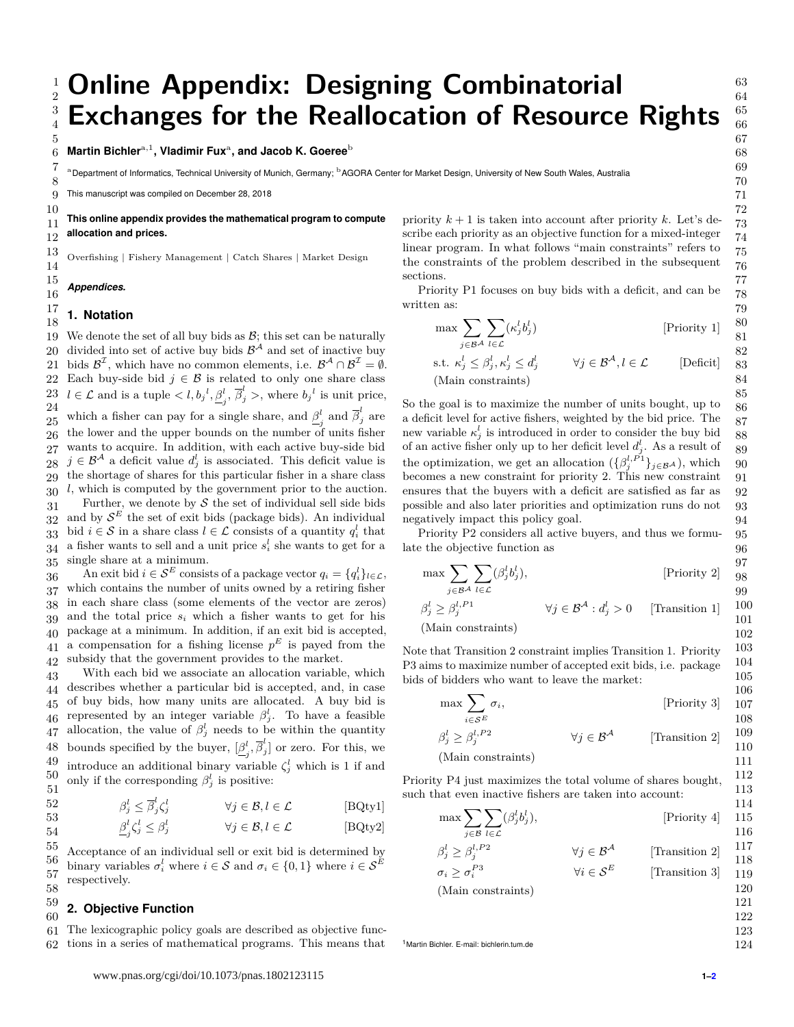## **Online Appendix: Designing Combinatorial Exchanges for the Reallocation of Resource Rights** 3

**Martin Bichler**a,1**, Vladimir Fux**<sup>a</sup> **, and Jacob K. Goeree**<sup>b</sup> 6

a Department of Informatics, Technical University of Munich, Germany; <sup>b</sup>AGORA Center for Market Design, University of New South Wales, Australia

This manuscript was compiled on December 28, 2018 9

#### **This online appendix provides the mathematical program to compute allocation and prices.** 11 12

Overfishing | Fishery Management | Catch Shares | Market Design 13 14

*Appendices.* 15 16

1 2

4 5

7 8

10

### **1. Notation** 17 18

We denote the set of all buy bids as  $B$ ; this set can be naturally divided into set of active buy bids  $\mathcal{B}^{\mathcal{A}}$  and set of inactive buy bids  $\mathcal{B}^{\mathcal{I}}$ , which have no common elements, i.e.  $\mathcal{B}^{\mathcal{A}} \cap \mathcal{B}^{\mathcal{I}} = \emptyset$ . Each buy-side bid  $j \in \mathcal{B}$  is related to only one share class  $l \in \mathcal{L}$  and is a tuple  $\langle l, b_j^l, \underline{\beta}_j^l, \overline{\beta}_j^l \rangle$ , where  $b_j^l$  is unit price, which a fisher can pay for a single share, and *β l l*<sub>*j*</sub> and  $\overline{\beta}_j^l$  are the lower and the upper bounds on the number of units fisher wants to acquire. In addition, with each active buy-side bid  $j \in \mathcal{B}^{\mathcal{A}}$  a deficit value  $d_j^l$  is associated. This deficit value is the shortage of shares for this particular fisher in a share class *l*, which is computed by the government prior to the auction. Further, we denote by  $S$  the set of individual sell side bids and by  $\mathcal{S}^E$  the set of exit bids (package bids). An individual bid  $i \in \mathcal{S}$  in a share class  $l \in \mathcal{L}$  consists of a quantity  $q_i^l$  that a fisher wants to sell and a unit price  $s_i^l$  she wants to get for a single share at a minimum. 19 20 21 22 23 24 25 26 27 28 29 30 31 32 33 34 35

An exit bid  $i \in \mathcal{S}^E$  consists of a package vector  $q_i = \{q_i^l\}_{l \in \mathcal{L}}$ , which contains the number of units owned by a retiring fisher in each share class (some elements of the vector are zeros) and the total price *s<sup>i</sup>* which a fisher wants to get for his package at a minimum. In addition, if an exit bid is accepted, a compensation for a fishing license  $p<sup>E</sup>$  is payed from the subsidy that the government provides to the market. 36 37 38 39 40 41 42

With each bid we associate an allocation variable, which describes whether a particular bid is accepted, and, in case of buy bids, how many units are allocated. A buy bid is represented by an integer variable  $\beta_j^l$ . To have a feasible allocation, the value of  $\beta_j^l$  needs to be within the quantity bounds specified by the buyer, [*β l*  $\left[\frac{l}{j}, \overline{\beta}_{j}^{l}\right]$  or zero. For this, we introduce an additional binary variable  $\zeta_j^l$  which is 1 if and only if the corresponding  $\beta_j^l$  is positive: 43 44 45 46 47 48 49 50 51

$$
\beta_j^l \leq \overline{\beta}_j^l \zeta_j^l \qquad \forall j \in \mathcal{B}, l \in \mathcal{L} \qquad \qquad [\text{BQty1}]
$$
  

$$
\underline{\beta}_j^l \zeta_j^l \leq \beta_j^l \qquad \forall j \in \mathcal{B}, l \in \mathcal{L} \qquad \qquad [\text{BQty2}]
$$

Acceptance of an individual sell or exit bid is determined by binary variables  $\sigma_i^l$  where  $i \in \mathcal{S}$  and  $\sigma_i \in \{0, 1\}$  where  $i \in \mathcal{S}^E$ respectively. 55 56 57 58

### **2. Objective Function** 59 60

52 53 54

The lexicographic policy goals are described as objective functions in a series of mathematical programs. This means that 61 62

priority  $k + 1$  is taken into account after priority  $k$ . Let's describe each priority as an objective function for a mixed-integer linear program. In what follows "main constraints" refers to the constraints of the problem described in the subsequent sections.

Priority P1 focuses on buy bids with a deficit, and can be written as:

$$
\max \sum_{j \in \mathcal{B}^{\mathcal{A}}} \sum_{l \in \mathcal{L}} (\kappa_j^l b_j^l) \tag{Priority 1}
$$

s.t. 
$$
\kappa_j^l \le \beta_j^l, \kappa_j^l \le d_j^l
$$
  $\forall j \in \mathcal{B}^{\mathcal{A}}, l \in \mathcal{L}$  [Deficit]  
(Main constraints)

So the goal is to maximize the number of units bought, up to a deficit level for active fishers, weighted by the bid price. The new variable  $\kappa_j^l$  is introduced in order to consider the buy bid of an active fisher only up to her deficit level  $d_j^l$ . As a result of the optimization, we get an allocation  $({\beta_j^{l,P_1}})_{j \in \mathcal{B}^{\mathcal{A}}})$ , which becomes a new constraint for priority 2. This new constraint ensures that the buyers with a deficit are satisfied as far as possible and also later priorities and optimization runs do not negatively impact this policy goal.

Priority P2 considers all active buyers, and thus we formulate the objective function as

$$
\max \sum_{j \in \mathcal{B}^{\mathcal{A}}} \sum_{l \in \mathcal{L}} (\beta_j^l b_j^l), \tag{Priority 2}
$$

$$
\beta_j^l \ge \beta_j^{l, P1} \qquad \qquad \forall j \in \mathcal{B}^{\mathcal{A}} : d_j^l > 0 \qquad \text{[Transformation 1]}
$$

(Main constraints)

Note that Transition 2 constraint implies Transition 1. Priority P3 aims to maximize number of accepted exit bids, i.e. package bids of bidders who want to leave the market:

$$
\max \sum_{i \in S^E} \sigma_i,
$$
 [Priority 3]

$$
\beta_j^l \ge \beta_j^{l, P2} \qquad \forall j \in \mathcal{B}^{\mathcal{A}} \qquad \text{[Transition 2]} \quad \frac{109}{110}
$$

(Main constraints)

Priority P4 just maximizes the total volume of shares bought, such that even inactive fishers are taken into account:

$$
\max \sum_{j \in \mathcal{B}} \sum_{l \in \mathcal{L}} (\beta_j^l b_j^l), \qquad \qquad [\text{Priority 4}]
$$

$$
\beta_j^l \ge \beta_j^{l, P2} \qquad \forall j \in \mathcal{B}^{\mathcal{A}} \qquad \text{[Transformation 2]} \qquad \begin{array}{c} 117 \\ 118 \\ 118 \end{array}
$$
\n
$$
\sigma_i \ge \sigma_i^{P3} \qquad \forall i \in \mathcal{S}^E \qquad \text{[Transition 3]} \qquad \begin{array}{c} 117 \\ 118 \end{array}
$$

*<sup>i</sup>* ∀*i* ∈ S*<sup>E</sup>* [Transition 3]

(Main constraints)

<sup>1</sup>Martin Bichler. E-mail: bichlerin.tum.de